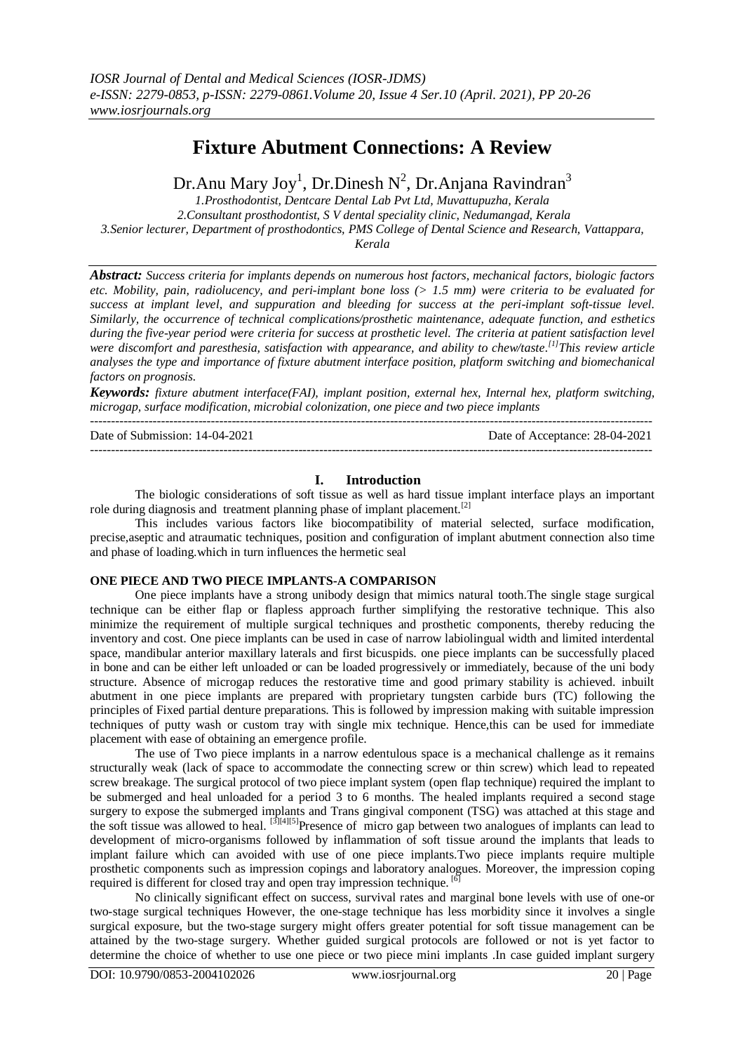# **Fixture Abutment Connections: A Review**

Dr.Anu Mary Joy<sup>1</sup>, Dr.Dinesh N<sup>2</sup>, Dr.Anjana Ravindran<sup>3</sup>

*1.Prosthodontist, Dentcare Dental Lab Pvt Ltd, Muvattupuzha, Kerala 2.Consultant prosthodontist, S V dental speciality clinic, Nedumangad, Kerala 3.Senior lecturer, Department of prosthodontics, PMS College of Dental Science and Research, Vattappara, Kerala*

*Abstract: Success criteria for implants depends on numerous host factors, mechanical factors, biologic factors etc. Mobility, pain, radiolucency, and peri-implant bone loss (> 1.5 mm) were criteria to be evaluated for success at implant level, and suppuration and bleeding for success at the peri-implant soft-tissue level. Similarly, the occurrence of technical complications/prosthetic maintenance, adequate function, and esthetics during the five-year period were criteria for success at prosthetic level. The criteria at patient satisfaction level were discomfort and paresthesia, satisfaction with appearance, and ability to chew/taste. [1]This review article analyses the type and importance of fixture abutment interface position, platform switching and biomechanical factors on prognosis.*

*Keywords: fixture abutment interface(FAI), implant position, external hex, Internal hex, platform switching, microgap, surface modification, microbial colonization, one piece and two piece implants* ---------------------------------------------------------------------------------------------------------------------------------------

Date of Submission: 14-04-2021 Date of Acceptance: 28-04-2021 ---------------------------------------------------------------------------------------------------------------------------------------

### **I. Introduction**

The biologic considerations of soft tissue as well as hard tissue implant interface plays an important role during diagnosis and treatment planning phase of implant placement.<sup>[2]</sup>

This includes various factors like biocompatibility of material selected, surface modification, precise,aseptic and atraumatic techniques, position and configuration of implant abutment connection also time and phase of loading.which in turn influences the hermetic seal

## **ONE PIECE AND TWO PIECE IMPLANTS-A COMPARISON**

One piece implants have a strong unibody design that mimics natural tooth.The single stage surgical technique can be either flap or flapless approach further simplifying the restorative technique. This also minimize the requirement of multiple surgical techniques and prosthetic components, thereby reducing the inventory and cost. One piece implants can be used in case of narrow labiolingual width and limited interdental space, mandibular anterior maxillary laterals and first bicuspids. one piece implants can be successfully placed in bone and can be either left unloaded or can be loaded progressively or immediately, because of the uni body structure. Absence of microgap reduces the restorative time and good primary stability is achieved. inbuilt abutment in one piece implants are prepared with proprietary tungsten carbide burs (TC) following the principles of Fixed partial denture preparations. This is followed by impression making with suitable impression techniques of putty wash or custom tray with single mix technique. Hence,this can be used for immediate placement with ease of obtaining an emergence profile.

The use of Two piece implants in a narrow edentulous space is a mechanical challenge as it remains structurally weak (lack of space to accommodate the connecting screw or thin screw) which lead to repeated screw breakage. The surgical protocol of two piece implant system (open flap technique) required the implant to be submerged and heal unloaded for a period 3 to 6 months. The healed implants required a second stage surgery to expose the submerged implants and Trans gingival component (TSG) was attached at this stage and the soft tissue was allowed to heal. <sup>[3][4][5]</sup>Presence of micro gap between two analogues of implants can lead to development of micro-organisms followed by inflammation of soft tissue around the implants that leads to implant failure which can avoided with use of one piece implants.Two piece implants require multiple prosthetic components such as impression copings and laboratory analogues. Moreover, the impression coping required is different for closed tray and open tray impression technique.  $\left[6\right]$ 

No clinically significant effect on success, survival rates and marginal bone levels with use of one-or two-stage surgical techniques However, the one-stage technique has less morbidity since it involves a single surgical exposure, but the two-stage surgery might offers greater potential for soft tissue management can be attained by the two-stage surgery. Whether guided surgical protocols are followed or not is yet factor to determine the choice of whether to use one piece or two piece mini implants .In case guided implant surgery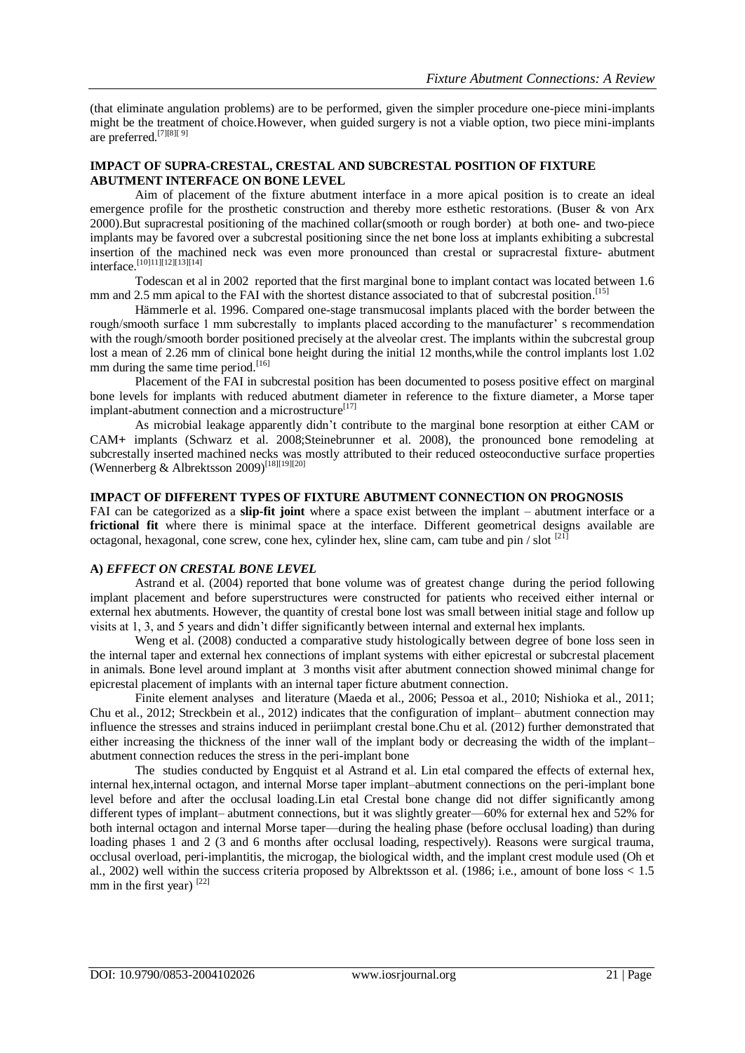(that eliminate angulation problems) are to be performed, given the simpler procedure one-piece mini-implants might be the treatment of choice.However, when guided surgery is not a viable option, two piece mini-implants are preferred.[7][8][ 9]

## **IMPACT OF SUPRA-CRESTAL, CRESTAL AND SUBCRESTAL POSITION OF FIXTURE ABUTMENT INTERFACE ON BONE LEVEL**

Aim of placement of the fixture abutment interface in a more apical position is to create an ideal emergence profile for the prosthetic construction and thereby more esthetic restorations. (Buser & von Arx 2000).But supracrestal positioning of the machined collar(smooth or rough border) at both one- and two-piece implants may be favored over a subcrestal positioning since the net bone loss at implants exhibiting a subcrestal insertion of the machined neck was even more pronounced than crestal or supracrestal fixture- abutment interface.<sup>[10]11][12][13][14]</sup>

Todescan et al in 2002 reported that the first marginal bone to implant contact was located between 1.6 mm and 2.5 mm apical to the FAI with the shortest distance associated to that of subcrestal position.<sup>[15]</sup>

Hämmerle et al. 1996. Compared one-stage transmucosal implants placed with the border between the rough/smooth surface 1 mm subcrestally to implants placed according to the manufacturer' s recommendation with the rough/smooth border positioned precisely at the alveolar crest. The implants within the subcrestal group lost a mean of 2.26 mm of clinical bone height during the initial 12 months, while the control implants lost 1.02 mm during the same time period.<sup>[16]</sup>

Placement of the FAI in subcrestal position has been documented to posess positive effect on marginal bone levels for implants with reduced abutment diameter in reference to the fixture diameter, a Morse taper implant-abutment connection and a microstructure<sup>[17]</sup>

As microbial leakage apparently didn't contribute to the marginal bone resorption at either CAM or CAM+ implants (Schwarz et al. 2008;Steinebrunner et al. 2008), the pronounced bone remodeling at subcrestally inserted machined necks was mostly attributed to their reduced osteoconductive surface properties (Wennerberg & Albrektsson 2009)<sup>[18][19][20]</sup>

## **IMPACT OF DIFFERENT TYPES OF FIXTURE ABUTMENT CONNECTION ON PROGNOSIS**

FAI can be categorized as a **slip-fit joint** where a space exist between the implant – abutment interface or a **frictional fit** where there is minimal space at the interface. Different geometrical designs available are octagonal, hexagonal, cone screw, cone hex, cylinder hex, sline cam, cam tube and pin / slot [21]

## **A)** *EFFECT ON CRESTAL BONE LEVEL*

Astrand et al. (2004) reported that bone volume was of greatest change during the period following implant placement and before superstructures were constructed for patients who received either internal or external hex abutments. However, the quantity of crestal bone lost was small between initial stage and follow up visits at 1, 3, and 5 years and didn't differ significantly between internal and external hex implants.

Weng et al. (2008) conducted a comparative study histologically between degree of bone loss seen in the internal taper and external hex connections of implant systems with either epicrestal or subcrestal placement in animals. Bone level around implant at 3 months visit after abutment connection showed minimal change for epicrestal placement of implants with an internal taper ficture abutment connection.

Finite element analyses and literature (Maeda et al., 2006; Pessoa et al., 2010; Nishioka et al., 2011; Chu et al., 2012; Streckbein et al., 2012) indicates that the configuration of implant– abutment connection may influence the stresses and strains induced in periimplant crestal bone.Chu et al. (2012) further demonstrated that either increasing the thickness of the inner wall of the implant body or decreasing the width of the implant– abutment connection reduces the stress in the peri-implant bone

The studies conducted by Engquist et al Astrand et al. Lin etal compared the effects of external hex, internal hex,internal octagon, and internal Morse taper implant–abutment connections on the peri-implant bone level before and after the occlusal loading.Lin etal Crestal bone change did not differ significantly among different types of implant– abutment connections, but it was slightly greater—60% for external hex and 52% for both internal octagon and internal Morse taper—during the healing phase (before occlusal loading) than during loading phases 1 and 2 (3 and 6 months after occlusal loading, respectively). Reasons were surgical trauma, occlusal overload, peri-implantitis, the microgap, the biological width, and the implant crest module used (Oh et al., 2002) well within the success criteria proposed by Albrektsson et al. (1986; i.e., amount of bone loss  $< 1.5$ mm in the first year) [22]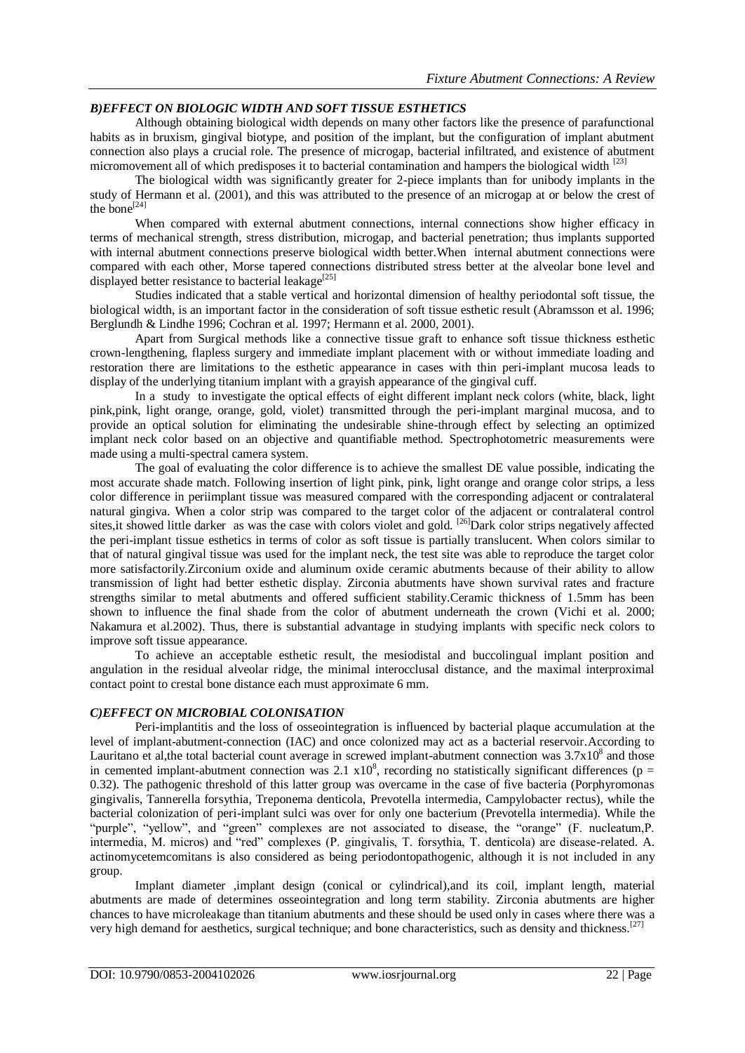## *B)EFFECT ON BIOLOGIC WIDTH AND SOFT TISSUE ESTHETICS*

Although obtaining biological width depends on many other factors like the presence of parafunctional habits as in bruxism, gingival biotype, and position of the implant, but the configuration of implant abutment connection also plays a crucial role. The presence of microgap, bacterial infiltrated, and existence of abutment micromovement all of which predisposes it to bacterial contamination and hampers the biological width <sup>[23</sup>]

The biological width was significantly greater for 2-piece implants than for unibody implants in the study of Hermann et al. (2001), and this was attributed to the presence of an microgap at or below the crest of the bone $^{[24]}$ 

When compared with external abutment connections, internal connections show higher efficacy in terms of mechanical strength, stress distribution, microgap, and bacterial penetration; thus implants supported with internal abutment connections preserve biological width better. When internal abutment connections were compared with each other, Morse tapered connections distributed stress better at the alveolar bone level and displayed better resistance to bacterial leakage<sup>[25]</sup>

Studies indicated that a stable vertical and horizontal dimension of healthy periodontal soft tissue, the biological width, is an important factor in the consideration of soft tissue esthetic result (Abramsson et al. 1996; Berglundh & Lindhe 1996; Cochran et al. 1997; Hermann et al. 2000, 2001).

Apart from Surgical methods like a connective tissue graft to enhance soft tissue thickness esthetic crown-lengthening, flapless surgery and immediate implant placement with or without immediate loading and restoration there are limitations to the esthetic appearance in cases with thin peri-implant mucosa leads to display of the underlying titanium implant with a grayish appearance of the gingival cuff.

In a study to investigate the optical effects of eight different implant neck colors (white, black, light pink,pink, light orange, orange, gold, violet) transmitted through the peri-implant marginal mucosa, and to provide an optical solution for eliminating the undesirable shine-through effect by selecting an optimized implant neck color based on an objective and quantifiable method. Spectrophotometric measurements were made using a multi-spectral camera system.

The goal of evaluating the color difference is to achieve the smallest DE value possible, indicating the most accurate shade match. Following insertion of light pink, pink, light orange and orange color strips, a less color difference in periimplant tissue was measured compared with the corresponding adjacent or contralateral natural gingiva. When a color strip was compared to the target color of the adjacent or contralateral control sites, it showed little darker as was the case with colors violet and gold. <sup>[26]</sup>Dark color strips negatively affected the peri-implant tissue esthetics in terms of color as soft tissue is partially translucent. When colors similar to that of natural gingival tissue was used for the implant neck, the test site was able to reproduce the target color more satisfactorily.Zirconium oxide and aluminum oxide ceramic abutments because of their ability to allow transmission of light had better esthetic display. Zirconia abutments have shown survival rates and fracture strengths similar to metal abutments and offered sufficient stability.Ceramic thickness of 1.5mm has been shown to influence the final shade from the color of abutment underneath the crown (Vichi et al. 2000; Nakamura et al.2002). Thus, there is substantial advantage in studying implants with specific neck colors to improve soft tissue appearance.

To achieve an acceptable esthetic result, the mesiodistal and buccolingual implant position and angulation in the residual alveolar ridge, the minimal interocclusal distance, and the maximal interproximal contact point to crestal bone distance each must approximate 6 mm.

### *C)EFFECT ON MICROBIAL COLONISATION*

Peri-implantitis and the loss of osseointegration is influenced by bacterial plaque accumulation at the level of implant-abutment-connection (IAC) and once colonized may act as a bacterial reservoir.According to Lauritano et al, the total bacterial count average in screwed implant-abutment connection was  $3.7 \times 10^8$  and those in cemented implant-abutment connection was 2.1  $\times 10^8$ , recording no statistically significant differences (p = 0.32). The pathogenic threshold of this latter group was overcame in the case of five bacteria (Porphyromonas gingivalis, Tannerella forsythia, Treponema denticola, Prevotella intermedia, Campylobacter rectus), while the bacterial colonization of peri-implant sulci was over for only one bacterium (Prevotella intermedia). While the "purple", "yellow", and "green" complexes are not associated to disease, the "orange" (F. nucleatum,P. intermedia, M. micros) and "red" complexes (P. gingivalis, T. forsythia, T. denticola) are disease-related. A. actinomycetemcomitans is also considered as being periodontopathogenic, although it is not included in any group.

Implant diameter ,implant design (conical or cylindrical),and its coil, implant length, material abutments are made of determines osseointegration and long term stability. Zirconia abutments are higher chances to have microleakage than titanium abutments and these should be used only in cases where there was a very high demand for aesthetics, surgical technique; and bone characteristics, such as density and thickness.<sup>[27]</sup>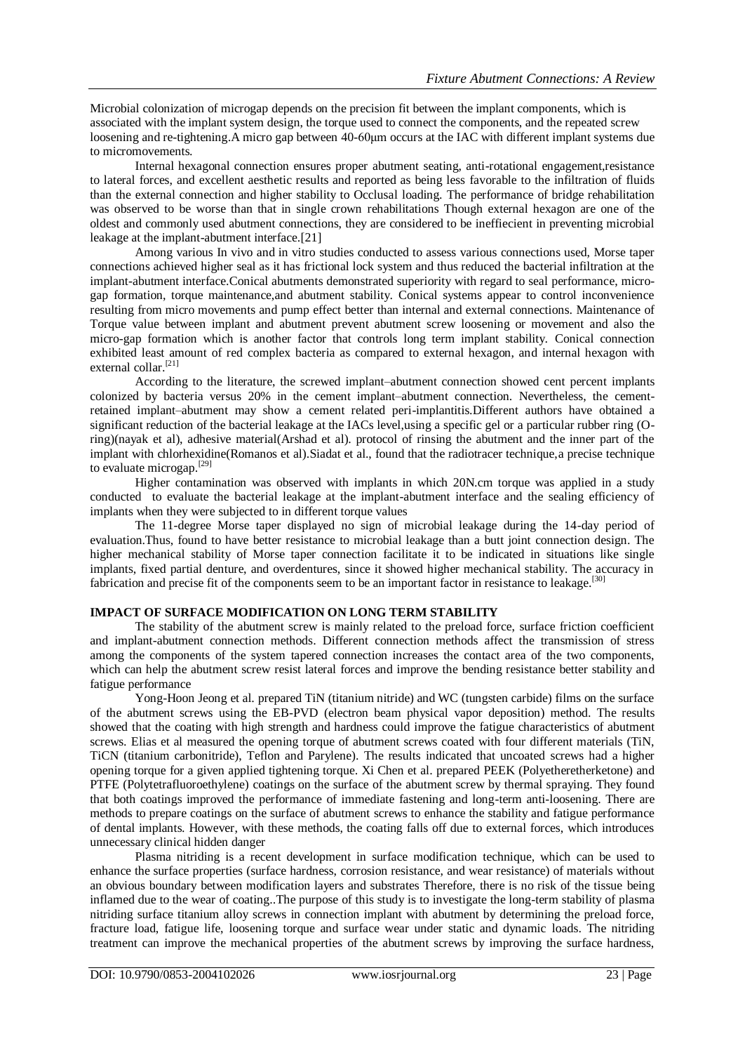Microbial colonization of microgap depends on the precision fit between the implant components, which is associated with the implant system design, the torque used to connect the components, and the repeated screw loosening and re-tightening.A micro gap between 40-60μm occurs at the IAC with different implant systems due to micromovements.

Internal hexagonal connection ensures proper abutment seating, anti-rotational engagement,resistance to lateral forces, and excellent aesthetic results and reported as being less favorable to the infiltration of fluids than the external connection and higher stability to Occlusal loading. The performance of bridge rehabilitation was observed to be worse than that in single crown rehabilitations Though external hexagon are one of the oldest and commonly used abutment connections, they are considered to be ineffiecient in preventing microbial leakage at the implant-abutment interface.[21]

Among various In vivo and in vitro studies conducted to assess various connections used, Morse taper connections achieved higher seal as it has frictional lock system and thus reduced the bacterial infiltration at the implant-abutment interface.Conical abutments demonstrated superiority with regard to seal performance, microgap formation, torque maintenance,and abutment stability. Conical systems appear to control inconvenience resulting from micro movements and pump effect better than internal and external connections. Maintenance of Torque value between implant and abutment prevent abutment screw loosening or movement and also the micro-gap formation which is another factor that controls long term implant stability. Conical connection exhibited least amount of red complex bacteria as compared to external hexagon, and internal hexagon with external collar. [21]

According to the literature, the screwed implant–abutment connection showed cent percent implants colonized by bacteria versus 20% in the cement implant–abutment connection. Nevertheless, the cementretained implant–abutment may show a cement related peri-implantitis.Different authors have obtained a significant reduction of the bacterial leakage at the IACs level,using a specific gel or a particular rubber ring (Oring)(nayak et al), adhesive material(Arshad et al). protocol of rinsing the abutment and the inner part of the implant with chlorhexidine(Romanos et al). Siadat et al., found that the radiotracer technique, a precise technique to evaluate microgap.[29]

Higher contamination was observed with implants in which 20N.cm torque was applied in a study conducted to evaluate the bacterial leakage at the implant-abutment interface and the sealing efficiency of implants when they were subjected to in different torque values

The 11-degree Morse taper displayed no sign of microbial leakage during the 14-day period of evaluation.Thus, found to have better resistance to microbial leakage than a butt joint connection design. The higher mechanical stability of Morse taper connection facilitate it to be indicated in situations like single implants, fixed partial denture, and overdentures, since it showed higher mechanical stability. The accuracy in fabrication and precise fit of the components seem to be an important factor in resistance to leakage.<sup>[30]</sup>

## **IMPACT OF SURFACE MODIFICATION ON LONG TERM STABILITY**

The stability of the abutment screw is mainly related to the preload force, surface friction coefficient and implant-abutment connection methods. Different connection methods affect the transmission of stress among the components of the system tapered connection increases the contact area of the two components, which can help the abutment screw resist lateral forces and improve the bending resistance better stability and fatigue performance

Yong-Hoon Jeong et al. prepared TiN (titanium nitride) and WC (tungsten carbide) films on the surface of the abutment screws using the EB-PVD (electron beam physical vapor deposition) method. The results showed that the coating with high strength and hardness could improve the fatigue characteristics of abutment screws. Elias et al measured the opening torque of abutment screws coated with four different materials (TiN, TiCN (titanium carbonitride), Teflon and Parylene). The results indicated that uncoated screws had a higher opening torque for a given applied tightening torque. Xi Chen et al. prepared PEEK (Polyetheretherketone) and PTFE (Polytetrafluoroethylene) coatings on the surface of the abutment screw by thermal spraying. They found that both coatings improved the performance of immediate fastening and long-term anti-loosening. There are methods to prepare coatings on the surface of abutment screws to enhance the stability and fatigue performance of dental implants. However, with these methods, the coating falls off due to external forces, which introduces unnecessary clinical hidden danger

Plasma nitriding is a recent development in surface modification technique, which can be used to enhance the surface properties (surface hardness, corrosion resistance, and wear resistance) of materials without an obvious boundary between modification layers and substrates Therefore, there is no risk of the tissue being inflamed due to the wear of coating..The purpose of this study is to investigate the long-term stability of plasma nitriding surface titanium alloy screws in connection implant with abutment by determining the preload force, fracture load, fatigue life, loosening torque and surface wear under static and dynamic loads. The nitriding treatment can improve the mechanical properties of the abutment screws by improving the surface hardness,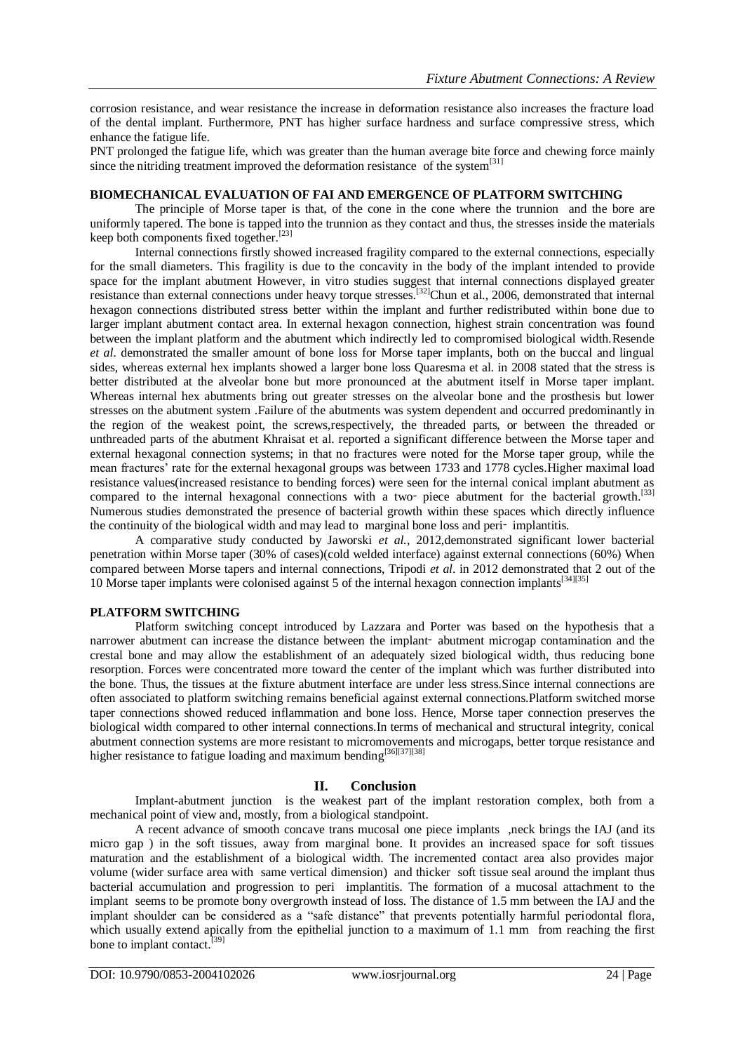corrosion resistance, and wear resistance the increase in deformation resistance also increases the fracture load of the dental implant. Furthermore, PNT has higher surface hardness and surface compressive stress, which enhance the fatigue life.

PNT prolonged the fatigue life, which was greater than the human average bite force and chewing force mainly since the nitriding treatment improved the deformation resistance of the system $^{[31]}$ 

### **BIOMECHANICAL EVALUATION OF FAI AND EMERGENCE OF PLATFORM SWITCHING**

The principle of Morse taper is that, of the cone in the cone where the trunnion and the bore are uniformly tapered. The bone is tapped into the trunnion as they contact and thus, the stresses inside the materials keep both components fixed together.<sup>[23]</sup>

Internal connections firstly showed increased fragility compared to the external connections, especially for the small diameters. This fragility is due to the concavity in the body of the implant intended to provide space for the implant abutment However, in vitro studies suggest that internal connections displayed greater resistance than external connections under heavy torque stresses.<sup>[32]</sup>Chun et al., 2006, demonstrated that internal hexagon connections distributed stress better within the implant and further redistributed within bone due to larger implant abutment contact area. In external hexagon connection, highest strain concentration was found between the implant platform and the abutment which indirectly led to compromised biological width.Resende *et al*. demonstrated the smaller amount of bone loss for Morse taper implants, both on the buccal and lingual sides, whereas external hex implants showed a larger bone loss Quaresma et al. in 2008 stated that the stress is better distributed at the alveolar bone but more pronounced at the abutment itself in Morse taper implant. Whereas internal hex abutments bring out greater stresses on the alveolar bone and the prosthesis but lower stresses on the abutment system .Failure of the abutments was system dependent and occurred predominantly in the region of the weakest point, the screws,respectively, the threaded parts, or between the threaded or unthreaded parts of the abutment Khraisat et al. reported a significant difference between the Morse taper and external hexagonal connection systems; in that no fractures were noted for the Morse taper group, while the mean fractures' rate for the external hexagonal groups was between 1733 and 1778 cycles.Higher maximal load resistance values(increased resistance to bending forces) were seen for the internal conical implant abutment as compared to the internal hexagonal connections with a two- piece abutment for the bacterial growth.<sup>[33]</sup> Numerous studies demonstrated the presence of bacterial growth within these spaces which directly influence the continuity of the biological width and may lead to marginal bone loss and peri‑ implantitis.

A comparative study conducted by Jaworski *et al.*, 2012,demonstrated significant lower bacterial penetration within Morse taper (30% of cases)(cold welded interface) against external connections (60%) When compared between Morse tapers and internal connections, Tripodi *et al*. in 2012 demonstrated that 2 out of the 10 Morse taper implants were colonised against 5 of the internal hexagon connection implants<sup>[34][35]</sup>

## **PLATFORM SWITCHING**

Platform switching concept introduced by Lazzara and Porter was based on the hypothesis that a narrower abutment can increase the distance between the implant‑ abutment microgap contamination and the crestal bone and may allow the establishment of an adequately sized biological width, thus reducing bone resorption. Forces were concentrated more toward the center of the implant which was further distributed into the bone. Thus, the tissues at the fixture abutment interface are under less stress.Since internal connections are often associated to platform switching remains beneficial against external connections.Platform switched morse taper connections showed reduced inflammation and bone loss. Hence, Morse taper connection preserves the biological width compared to other internal connections.In terms of mechanical and structural integrity, conical abutment connection systems are more resistant to micromovements and microgaps, better torque resistance and higher resistance to fatigue loading and maximum bending<sup>[36][37][38]</sup>

## **II. Conclusion**

Implant-abutment junction is the weakest part of the implant restoration complex, both from a mechanical point of view and, mostly, from a biological standpoint.

A recent advance of smooth concave trans mucosal one piece implants ,neck brings the IAJ (and its micro gap ) in the soft tissues, away from marginal bone. It provides an increased space for soft tissues maturation and the establishment of a biological width. The incremented contact area also provides major volume (wider surface area with same vertical dimension) and thicker soft tissue seal around the implant thus bacterial accumulation and progression to peri implantitis. The formation of a mucosal attachment to the implant seems to be promote bony overgrowth instead of loss. The distance of 1.5 mm between the IAJ and the implant shoulder can be considered as a "safe distance" that prevents potentially harmful periodontal flora, which usually extend apically from the epithelial junction to a maximum of 1.1 mm from reaching the first bone to implant contact.<sup>[39]</sup>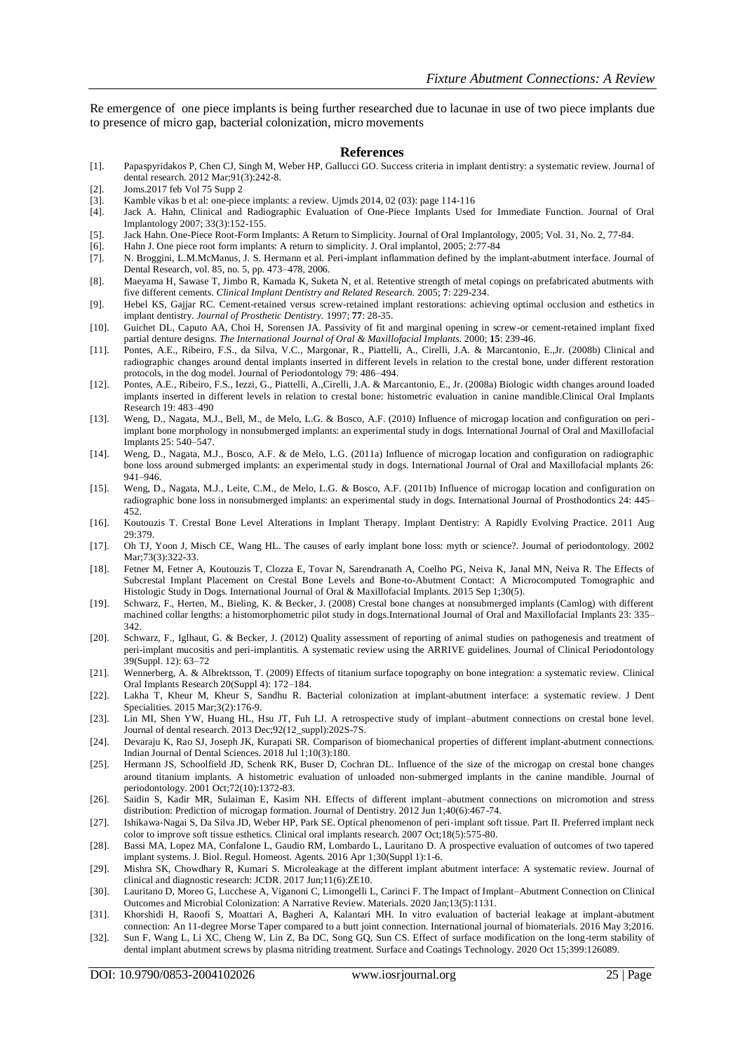Re emergence of one piece implants is being further researched due to lacunae in use of two piece implants due to presence of micro gap, bacterial colonization, micro movements

#### **References**

- [1]. Papaspyridakos P, Chen CJ, Singh M, Weber HP, Gallucci GO. Success criteria in implant dentistry: a systematic review. Journal of dental research. 2012 Mar;91(3):242-8.
- [2]. Joms.2017 feb Vol 75 Supp 2<br>[3]. Kamble vikas b et al: one-pie
- Kamble vikas b et al: one-piece implants: a review. Ujmds 2014, 02 (03): page 114-116
- [4]. Jack A. Hahn, Clinical and Radiographic Evaluation of One-Piece Implants Used for Immediate Function. Journal of Oral Implantology 2007; 33(3):152-155.
- [5]. Jack Hahn. One-Piece Root-Form Implants: A Return to Simplicity. Journal of Oral Implantology, 2005; Vol. 31, No. 2, 77-84.
- [6]. Hahn J. One piece root form implants: A return to simplicity. J. Oral implantol, 2005; 2:77-84
- [7]. N. Broggini, L.M.McManus, J. S. Hermann et al. Peri-implant inflammation defined by the implant-abutment interface. Journal of Dental Research, vol. 85, no. 5, pp. 473–478, 2006.
- [8]. Maeyama H, Sawase T, Jimbo R, Kamada K, Suketa N, et al. Retentive strength of metal copings on prefabricated abutments with five different cements. *Clinical Implant Dentistry and Related Research.* 2005; **7**: 229-234.
- [9]. Hebel KS, Gajjar RC. Cement-retained versus screw-retained implant restorations: achieving optimal occlusion and esthetics in implant dentistry. *Journal of Prosthetic Dentistry.* 1997; **77**: 28-35.
- [10]. Guichet DL, Caputo AA, Choi H, Sorensen JA. Passivity of fit and marginal opening in screw-or cement-retained implant fixed partial denture designs. *The International Journal of Oral & Maxillofacial Implants.* 2000; **15**: 239-46.
- [11]. Pontes, A.E., Ribeiro, F.S., da Silva, V.C., Margonar, R., Piattelli, A., Cirelli, J.A. & Marcantonio, E.,Jr. (2008b) Clinical and radiographic changes around dental implants inserted in different levels in relation to the crestal bone, under different restoration protocols, in the dog model. Journal of Periodontology 79: 486–494.
- [12]. Pontes, A.E., Ribeiro, F.S., Iezzi, G., Piattelli, A.,Cirelli, J.A. & Marcantonio, E., Jr. (2008a) Biologic width changes around loaded implants inserted in different levels in relation to crestal bone: histometric evaluation in canine mandible.Clinical Oral Implants Research 19: 483–490
- [13]. Weng, D., Nagata, M.J., Bell, M., de Melo, L.G. & Bosco, A.F. (2010) Influence of microgap location and configuration on periimplant bone morphology in nonsubmerged implants: an experimental study in dogs. International Journal of Oral and Maxillofacial Implants 25: 540–547.
- [14]. Weng, D., Nagata, M.J., Bosco, A.F. & de Melo, L.G. (2011a) Influence of microgap location and configuration on radiographic bone loss around submerged implants: an experimental study in dogs. International Journal of Oral and Maxillofacial mplants 26: 941–946.
- [15]. Weng, D., Nagata, M.J., Leite, C.M., de Melo, L.G. & Bosco, A.F. (2011b) Influence of microgap location and configuration on radiographic bone loss in nonsubmerged implants: an experimental study in dogs. International Journal of Prosthodontics 24: 445– 452.
- [16]. Koutouzis T. Crestal Bone Level Alterations in Implant Therapy. Implant Dentistry: A Rapidly Evolving Practice. 2011 Aug 29:379.
- [17]. Oh TJ, Yoon J, Misch CE, Wang HL. The causes of early implant bone loss: myth or science?. Journal of periodontology. 2002 Mar: 73(3): 322-33.
- [18]. Fetner M, Fetner A, Koutouzis T, Clozza E, Tovar N, Sarendranath A, Coelho PG, Neiva K, Janal MN, Neiva R. The Effects of Subcrestal Implant Placement on Crestal Bone Levels and Bone-to-Abutment Contact: A Microcomputed Tomographic and Histologic Study in Dogs. International Journal of Oral & Maxillofacial Implants. 2015 Sep 1;30(5).
- [19]. Schwarz, F., Herten, M., Bieling, K. & Becker, J. (2008) Crestal bone changes at nonsubmerged implants (Camlog) with different machined collar lengths: a histomorphometric pilot study in dogs.International Journal of Oral and Maxillofacial Implants 23: 335– 342.
- [20]. Schwarz, F., Iglhaut, G. & Becker, J. (2012) Quality assessment of reporting of animal studies on pathogenesis and treatment of peri-implant mucositis and peri-implantitis. A systematic review using the ARRIVE guidelines. Journal of Clinical Periodontology 39(Suppl. 12): 63–72
- [21]. Wennerberg, A. & Albrektsson, T. (2009) Effects of titanium surface topography on bone integration: a systematic review. Clinical Oral Implants Research 20(Suppl 4): 172–184.
- [22]. Lakha T, Kheur M, Kheur S, Sandhu R. Bacterial colonization at implant-abutment interface: a systematic review. J Dent Specialities. 2015 Mar;3(2):176-9.
- [23]. Lin MI, Shen YW, Huang HL, Hsu JT, Fuh LJ. A retrospective study of implant–abutment connections on crestal bone level. Journal of dental research. 2013 Dec;92(12\_suppl):202S-7S.
- [24]. Devaraju K, Rao SJ, Joseph JK, Kurapati SR. Comparison of biomechanical properties of different implant-abutment connections. Indian Journal of Dental Sciences. 2018 Jul 1;10(3):180.
- [25]. Hermann JS, Schoolfield JD, Schenk RK, Buser D, Cochran DL. Influence of the size of the microgap on crestal bone changes around titanium implants. A histometric evaluation of unloaded non‐submerged implants in the canine mandible. Journal of periodontology. 2001 Oct;72(10):1372-83.
- [26]. Saidin S, Kadir MR, Sulaiman E, Kasim NH. Effects of different implant–abutment connections on micromotion and stress distribution: Prediction of microgap formation. Journal of Dentistry. 2012 Jun 1;40(6):467-74.
- [27]. Ishikawa-Nagai S, Da Silva JD, Weber HP, Park SE. Optical phenomenon of peri-implant soft tissue. Part II. Preferred implant neck color to improve soft tissue esthetics. Clinical oral implants research. 2007 Oct;18(5):575-80.
- [28]. Bassi MA, Lopez MA, Confalone L, Gaudio RM, Lombardo L, Lauritano D. A prospective evaluation of outcomes of two tapered implant systems. J. Biol. Regul. Homeost. Agents. 2016 Apr 1;30(Suppl 1):1-6.
- [29]. Mishra SK, Chowdhary R, Kumari S. Microleakage at the different implant abutment interface: A systematic review. Journal of clinical and diagnostic research: JCDR. 2017 Jun;11(6):ZE10.
- [30]. Lauritano D, Moreo G, Lucchese A, Viganoni C, Limongelli L, Carinci F. The Impact of Implant–Abutment Connection on Clinical Outcomes and Microbial Colonization: A Narrative Review. Materials. 2020 Jan;13(5):1131.
- [31]. Khorshidi H, Raoofi S, Moattari A, Bagheri A, Kalantari MH. In vitro evaluation of bacterial leakage at implant-abutment connection: An 11-degree Morse Taper compared to a butt joint connection. International journal of biomaterials. 2016 May 3;2016.
- [32]. Sun F, Wang L, Li XC, Cheng W, Lin Z, Ba DC, Song GQ, Sun CS. Effect of surface modification on the long-term stability of dental implant abutment screws by plasma nitriding treatment. Surface and Coatings Technology. 2020 Oct 15;399:126089.